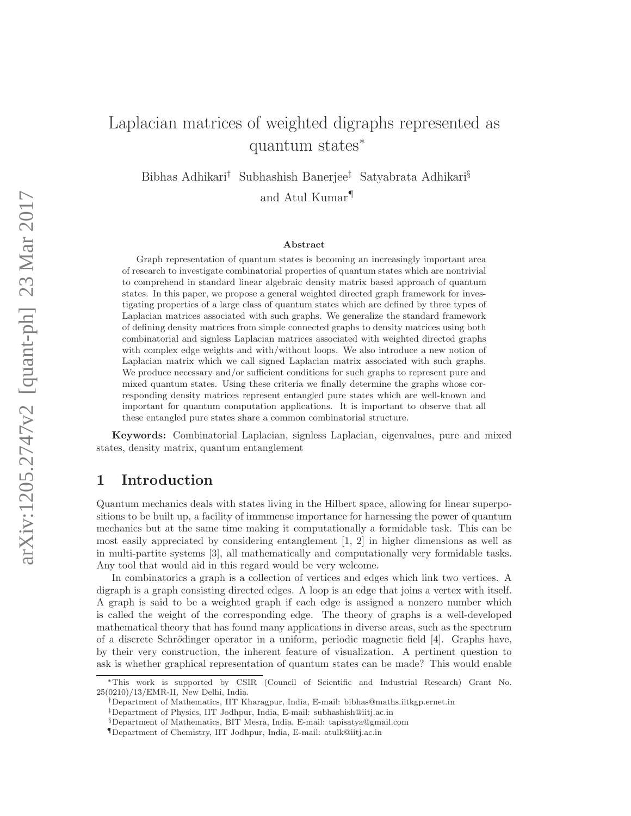# Laplacian matrices of weighted digraphs represented as quantum states<sup>∗</sup>

Bibhas Adhikari† Subhashish Banerjee‡ Satyabrata Adhikari§ and Atul Kumar¶

#### Abstract

Graph representation of quantum states is becoming an increasingly important area of research to investigate combinatorial properties of quantum states which are nontrivial to comprehend in standard linear algebraic density matrix based approach of quantum states. In this paper, we propose a general weighted directed graph framework for investigating properties of a large class of quantum states which are defined by three types of Laplacian matrices associated with such graphs. We generalize the standard framework of defining density matrices from simple connected graphs to density matrices using both combinatorial and signless Laplacian matrices associated with weighted directed graphs with complex edge weights and with/without loops. We also introduce a new notion of Laplacian matrix which we call signed Laplacian matrix associated with such graphs. We produce necessary and/or sufficient conditions for such graphs to represent pure and mixed quantum states. Using these criteria we finally determine the graphs whose corresponding density matrices represent entangled pure states which are well-known and important for quantum computation applications. It is important to observe that all these entangled pure states share a common combinatorial structure.

Keywords: Combinatorial Laplacian, signless Laplacian, eigenvalues, pure and mixed states, density matrix, quantum entanglement

### 1 Introduction

Quantum mechanics deals with states living in the Hilbert space, allowing for linear superpositions to be built up, a facility of immmense importance for harnessing the power of quantum mechanics but at the same time making it computationally a formidable task. This can be most easily appreciated by considering entanglement [1, 2] in higher dimensions as well as in multi-partite systems [3], all mathematically and computationally very formidable tasks. Any tool that would aid in this regard would be very welcome.

In combinatorics a graph is a collection of vertices and edges which link two vertices. A digraph is a graph consisting directed edges. A loop is an edge that joins a vertex with itself. A graph is said to be a weighted graph if each edge is assigned a nonzero number which is called the weight of the corresponding edge. The theory of graphs is a well-developed mathematical theory that has found many applications in diverse areas, such as the spectrum of a discrete Schrödinger operator in a uniform, periodic magnetic field  $[4]$ . Graphs have, by their very construction, the inherent feature of visualization. A pertinent question to ask is whether graphical representation of quantum states can be made? This would enable

<sup>∗</sup>This work is supported by CSIR (Council of Scientific and Industrial Research) Grant No. 25(0210)/13/EMR-II, New Delhi, India.

<sup>†</sup>Department of Mathematics, IIT Kharagpur, India, E-mail: bibhas@maths.iitkgp.ernet.in

<sup>‡</sup>Department of Physics, IIT Jodhpur, India, E-mail: subhashish@iitj.ac.in §Department of Mathematics, BIT Mesra, India, E-mail: tapisatya@gmail.com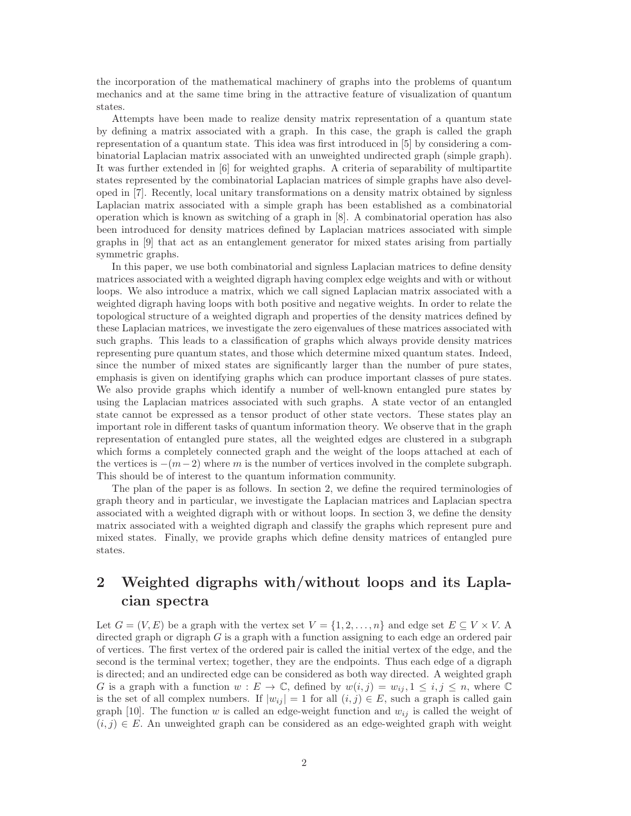the incorporation of the mathematical machinery of graphs into the problems of quantum mechanics and at the same time bring in the attractive feature of visualization of quantum states.

Attempts have been made to realize density matrix representation of a quantum state by defining a matrix associated with a graph. In this case, the graph is called the graph representation of a quantum state. This idea was first introduced in [5] by considering a combinatorial Laplacian matrix associated with an unweighted undirected graph (simple graph). It was further extended in [6] for weighted graphs. A criteria of separability of multipartite states represented by the combinatorial Laplacian matrices of simple graphs have also developed in [7]. Recently, local unitary transformations on a density matrix obtained by signless Laplacian matrix associated with a simple graph has been established as a combinatorial operation which is known as switching of a graph in [8]. A combinatorial operation has also been introduced for density matrices defined by Laplacian matrices associated with simple graphs in [9] that act as an entanglement generator for mixed states arising from partially symmetric graphs.

In this paper, we use both combinatorial and signless Laplacian matrices to define density matrices associated with a weighted digraph having complex edge weights and with or without loops. We also introduce a matrix, which we call signed Laplacian matrix associated with a weighted digraph having loops with both positive and negative weights. In order to relate the topological structure of a weighted digraph and properties of the density matrices defined by these Laplacian matrices, we investigate the zero eigenvalues of these matrices associated with such graphs. This leads to a classification of graphs which always provide density matrices representing pure quantum states, and those which determine mixed quantum states. Indeed, since the number of mixed states are significantly larger than the number of pure states, emphasis is given on identifying graphs which can produce important classes of pure states. We also provide graphs which identify a number of well-known entangled pure states by using the Laplacian matrices associated with such graphs. A state vector of an entangled state cannot be expressed as a tensor product of other state vectors. These states play an important role in different tasks of quantum information theory. We observe that in the graph representation of entangled pure states, all the weighted edges are clustered in a subgraph which forms a completely connected graph and the weight of the loops attached at each of the vertices is  $-(m-2)$  where m is the number of vertices involved in the complete subgraph. This should be of interest to the quantum information community.

The plan of the paper is as follows. In section 2, we define the required terminologies of graph theory and in particular, we investigate the Laplacian matrices and Laplacian spectra associated with a weighted digraph with or without loops. In section 3, we define the density matrix associated with a weighted digraph and classify the graphs which represent pure and mixed states. Finally, we provide graphs which define density matrices of entangled pure states.

## 2 Weighted digraphs with/without loops and its Laplacian spectra

Let  $G = (V, E)$  be a graph with the vertex set  $V = \{1, 2, ..., n\}$  and edge set  $E \subseteq V \times V$ . directed graph or digraph  $G$  is a graph with a function assigning to each edge an ordered pair of vertices. The first vertex of the ordered pair is called the initial vertex of the edge, and the second is the terminal vertex; together, they are the endpoints. Thus each edge of a digraph is directed; and an undirected edge can be considered as both way directed. A weighted graph G is a graph with a function  $w : E \to \mathbb{C}$ , defined by  $w(i,j) = w_{ij}, 1 \leq i, j \leq n$ , where  $\mathbb{C}$ is the set of all complex numbers. If  $|w_{ij}| = 1$  for all  $(i, j) \in E$ , such a graph is called gain graph [10]. The function w is called an edge-weight function and  $w_{ij}$  is called the weight of  $(i, j) \in E$ . An unweighted graph can be considered as an edge-weighted graph with weight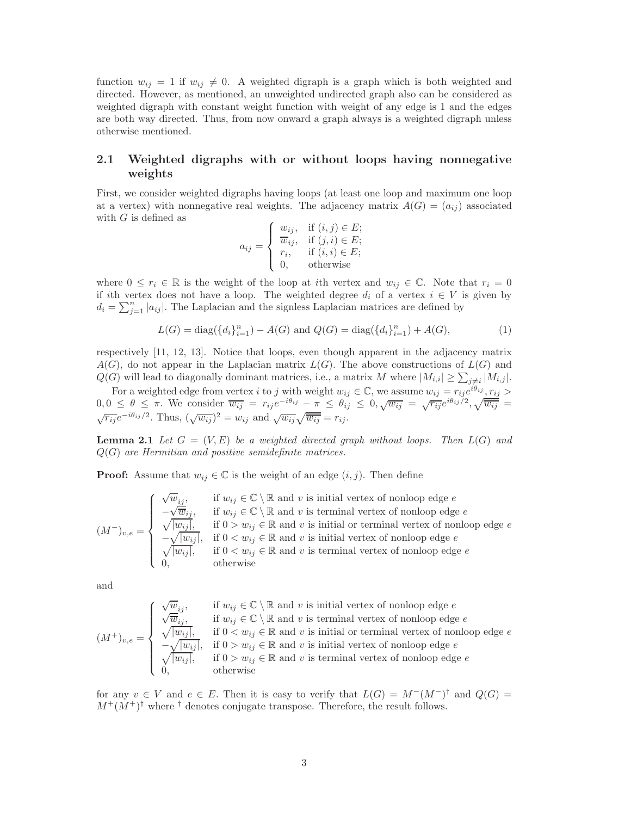function  $w_{ij} = 1$  if  $w_{ij} \neq 0$ . A weighted digraph is a graph which is both weighted and directed. However, as mentioned, an unweighted undirected graph also can be considered as weighted digraph with constant weight function with weight of any edge is 1 and the edges are both way directed. Thus, from now onward a graph always is a weighted digraph unless otherwise mentioned.

## 2.1 Weighted digraphs with or without loops having nonnegative weights

First, we consider weighted digraphs having loops (at least one loop and maximum one loop at a vertex) with nonnegative real weights. The adjacency matrix  $A(G) = (a_{ij})$  associated with  $G$  is defined as

$$
a_{ij} = \begin{cases} w_{ij}, & \text{if } (i,j) \in E; \\ \overline{w}_{ij}, & \text{if } (j,i) \in E; \\ r_i, & \text{if } (i,i) \in E; \\ 0, & \text{otherwise} \end{cases}
$$

where  $0 \leq r_i \in \mathbb{R}$  is the weight of the loop at *i*th vertex and  $w_{ij} \in \mathbb{C}$ . Note that  $r_i = 0$ if ith vertex does not have a loop. The weighted degree  $d_i$  of a vertex  $i \in V$  is given by  $d_i = \sum_{j=1}^n |a_{ij}|$ . The Laplacian and the signless Laplacian matrices are defined by

$$
L(G) = diag({d_i}_{i=1}^n) - A(G) \text{ and } Q(G) = diag({d_i}_{i=1}^n) + A(G),
$$
\n(1)

respectively [11, 12, 13]. Notice that loops, even though apparent in the adjacency matrix  $A(G)$ , do not appear in the Laplacian matrix  $L(G)$ . The above constructions of  $L(G)$  and  $Q(G)$  will lead to diagonally dominant matrices, i.e., a matrix M where  $|M_{i,i}| \geq \sum_{j \neq i} |M_{i,j}|$ .

For a weighted edge from vertex *i* to j with weight  $w_{ij} \in \mathbb{C}$ , we assume  $w_{ij} = r_{ij}e^{i\theta_{ij}}$ ,  $r_{ij} >$ <br>For a weighted edge from vertex *i* to j with weight  $w_{ij} \in \mathbb{C}$ , we assume  $w_{ij} = r_{ij}e^{i\theta_{ij}}$ ,  $r_{ij} >$  $0, 0 \leq \theta \leq \pi$ . We consider  $\overline{w_{ij}} = r_{ij}e^{-i\theta_{ij}} - \pi \leq \theta_{ij} \leq 0, \sqrt{w_{ij}} = \sqrt{r_{ij}}e^{i\theta_{ij}/2}, \sqrt{\overline{w_{ij}}} =$  $\sqrt{r_{ij}}e^{-i\theta_{ij}/2}$ . Thus,  $(\sqrt{w_{ij}})^2 = w_{ij}$  and  $\sqrt{w_{ij}}\sqrt{\overline{w_{ij}}}=r_{ij}$ .

**Lemma 2.1** Let  $G = (V, E)$  be a weighted directed graph without loops. Then  $L(G)$  and Q(G) *are Hermitian and positive semidefinite matrices.*

**Proof:** Assume that  $w_{ij} \in \mathbb{C}$  is the weight of an edge  $(i, j)$ . Then define

$$
(M^-)_{v,e} = \begin{cases} \n\sqrt{w}_{ij}, & \text{if } w_{ij} \in \mathbb{C} \setminus \mathbb{R} \text{ and } v \text{ is initial vertex of nonloop edge } e \\ \n-\sqrt{\overline{w}_{ij}}, & \text{if } w_{ij} \in \mathbb{C} \setminus \mathbb{R} \text{ and } v \text{ is terminal vertex of nonloop edge } e \\ \n\sqrt{|w_{ij}|}, & \text{if } 0 > w_{ij} \in \mathbb{R} \text{ and } v \text{ is initial or terminal vertex of nonloop edge } e \\ \n-\sqrt{|w_{ij}|}, & \text{if } 0 < w_{ij} \in \mathbb{R} \text{ and } v \text{ is initial vertex of nonloop edge } e \\ \n0, & \text{otherwise} \n\end{cases}
$$

and

$$
(M^+)_{v,e} = \begin{cases} \sqrt{w}_{ij}, & \text{if } w_{ij} \in \mathbb{C} \setminus \mathbb{R} \text{ and } v \text{ is initial vertex of nonloop edge } e \\ \sqrt{\overline{w}_{ij}}, & \text{if } w_{ij} \in \mathbb{C} \setminus \mathbb{R} \text{ and } v \text{ is terminal vertex of nonloop edge } e \\ \sqrt{|w_{ij}|}, & \text{if } 0 < w_{ij} \in \mathbb{R} \text{ and } v \text{ is initial or terminal vertex of nonloop edge } e \\ -\sqrt{|w_{ij}|}, & \text{if } 0 > w_{ij} \in \mathbb{R} \text{ and } v \text{ is initial vertex of nonloop edge } e \\ \sqrt{|w_{ij}|}, & \text{if } 0 > w_{ij} \in \mathbb{R} \text{ and } v \text{ is terminal vertex of nonloop edge } e \\ 0, & \text{otherwise} \end{cases}
$$

for any  $v \in V$  and  $e \in E$ . Then it is easy to verify that  $L(G) = M^-(M^-)^{\dagger}$  and  $Q(G) =$  $M^+(M^+)^\dagger$  where <sup>†</sup> denotes conjugate transpose. Therefore, the result follows.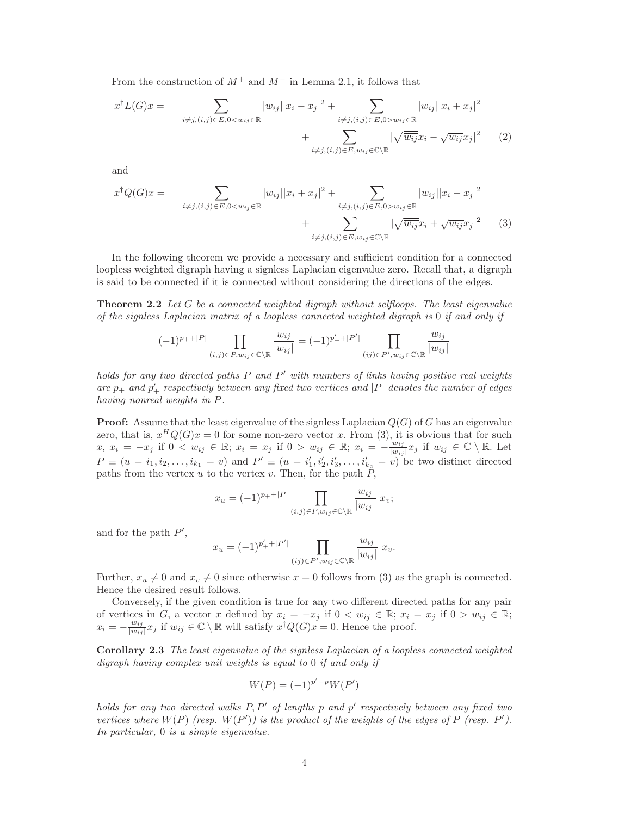From the construction of  $M^+$  and  $M^-$  in Lemma 2.1, it follows that

$$
x^{\dagger}L(G)x = \sum_{i \neq j, (i,j) \in E, 0 < w_{ij} \in \mathbb{R}} |w_{ij}||x_i - x_j|^2 + \sum_{i \neq j, (i,j) \in E, 0 > w_{ij} \in \mathbb{R}} |w_{ij}||x_i + x_j|^2 + \sum_{i \neq j, (i,j) \in E, w_{ij} \in \mathbb{C} \backslash \mathbb{R}} |w_{ij}||x_i - \sqrt{w_{ij}}x_j|^2 \tag{2}
$$

and

$$
x^{\dagger}Q(G)x = \sum_{i \neq j, (i,j) \in E, 0 < w_{ij} \in \mathbb{R}} |w_{ij}||x_i + x_j|^2 + \sum_{i \neq j, (i,j) \in E, 0 > w_{ij} \in \mathbb{R}} |w_{ij}||x_i - x_j|^2 + \sum_{i \neq j, (i,j) \in E, w_{ij} \in \mathbb{C} \backslash \mathbb{R}} |w_{ij}||x_i + \sqrt{w_{ij}}x_j|^2 \tag{3}
$$

In the following theorem we provide a necessary and sufficient condition for a connected loopless weighted digraph having a signless Laplacian eigenvalue zero. Recall that, a digraph is said to be connected if it is connected without considering the directions of the edges.

Theorem 2.2 *Let* G *be a connected weighted digraph without selfloops. The least eigenvalue of the signless Laplacian matrix of a loopless connected weighted digraph is* 0 *if and only if*

$$
(-1)^{p_++|P|}\prod_{(i,j)\in P,w_{ij}\in\mathbb{C}\backslash\mathbb{R}}\frac{w_{ij}}{|w_{ij}|}=(-1)^{p_+'+|P'|}\prod_{(ij)\in P',w_{ij}\in\mathbb{C}\backslash\mathbb{R}}\frac{w_{ij}}{|w_{ij}|}
$$

*holds for any two directed paths* P *and* P ′ *with numbers of links having positive real weights are*  $p_+$  *and*  $p'_+$  *respectively between any fixed two vertices and* |P| *denotes the number of edges having nonreal weights in* P*.*

**Proof:** Assume that the least eigenvalue of the signless Laplacian  $Q(G)$  of G has an eigenvalue zero, that is,  $x^H Q(G)x = 0$  for some non-zero vector x. From (3), it is obvious that for such  $x, x_i = -x_j \text{ if } 0 < w_{ij} \in \mathbb{R}; x_i = x_j \text{ if } 0 > w_{ij} \in \mathbb{R}; x_i = -\frac{w_{ij}}{|w_{ij}|}$  $\frac{w_{ij}}{|w_{ij}|}x_j$  if  $w_{ij} \in \mathbb{C} \setminus \mathbb{R}$ . Let  $P \equiv (u = i_1, i_2, \dots, i_{k_1} = v)$  and  $P' \equiv (u = i'_1, i'_2, i'_3, \dots, i'_{k_2} = v)$  be two distinct directed paths from the vertex u to the vertex v. Then, for the path  $\overline{P}$ ,

$$
x_u = (-1)^{p_+ + |P|} \prod_{(i,j) \in P, w_{ij} \in \mathbb{C} \backslash \mathbb{R}} \frac{w_{ij}}{|w_{ij}|} x_v;
$$

and for the path  $P'$ ,

$$
x_u = (-1)^{p'_+ + |P'|} \prod_{(ij) \in P', w_{ij} \in \mathbb{C} \backslash \mathbb{R}} \frac{w_{ij}}{|w_{ij}|} x_v.
$$

Further,  $x_u \neq 0$  and  $x_v \neq 0$  since otherwise  $x = 0$  follows from (3) as the graph is connected. Hence the desired result follows.

Conversely, if the given condition is true for any two different directed paths for any pair of vertices in G, a vector x defined by  $x_i = -x_j$  if  $0 < w_{ij} \in \mathbb{R}$ ;  $x_i = x_j$  if  $0 > w_{ij} \in \mathbb{R}$ ;  $x_i = -\frac{w_{ij}}{|w_{ij}}$  $\frac{w_{ij}}{|w_{ij}|}x_j$  if  $w_{ij} \in \mathbb{C} \setminus \mathbb{R}$  will satisfy  $x^{\dagger}Q(G)x = 0$ . Hence the proof.

Corollary 2.3 *The least eigenvalue of the signless Laplacian of a loopless connected weighted digraph having complex unit weights is equal to* 0 *if and only if*

$$
W(P) = (-1)^{p'-p}W(P')
$$

*holds for any two directed walks* P, P′ *of lengths* p *and* p ′ *respectively between any fixed two vertices where*  $W(P)$  *(resp.*  $W(P')$ *) is the product of the weights of the edges of*  $P$  *(resp.*  $P'$ *). In particular,* 0 *is a simple eigenvalue.*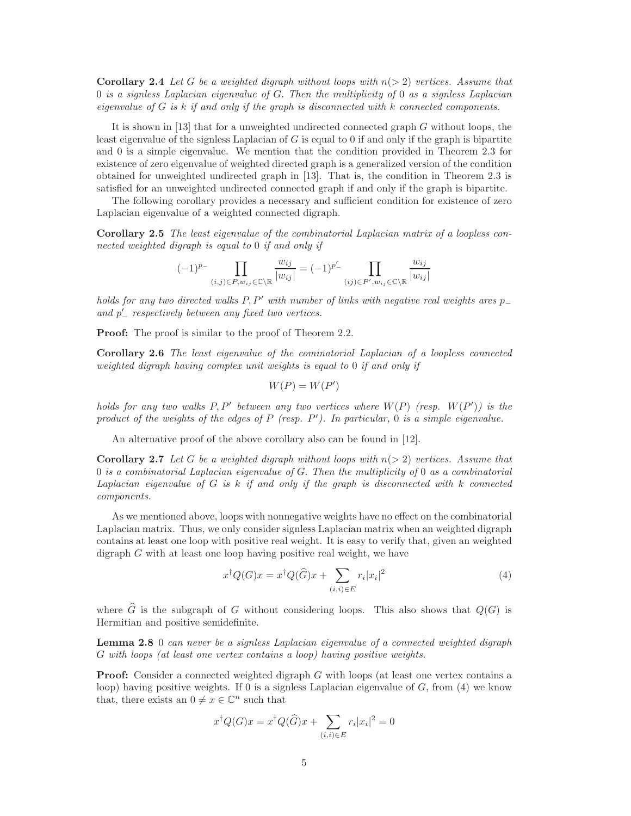Corollary 2.4 *Let* G *be a weighted digraph without loops with* n(> 2) *vertices. Assume that* 0 *is a signless Laplacian eigenvalue of* G. *Then the multiplicity of* 0 *as a signless Laplacian eigenvalue of* G *is* k *if and only if the graph is disconnected with* k *connected components.*

It is shown in [13] that for a unweighted undirected connected graph G without loops, the least eigenvalue of the signless Laplacian of  $G$  is equal to 0 if and only if the graph is bipartite and 0 is a simple eigenvalue. We mention that the condition provided in Theorem 2.3 for existence of zero eigenvalue of weighted directed graph is a generalized version of the condition obtained for unweighted undirected graph in [13]. That is, the condition in Theorem 2.3 is satisfied for an unweighted undirected connected graph if and only if the graph is bipartite.

The following corollary provides a necessary and sufficient condition for existence of zero Laplacian eigenvalue of a weighted connected digraph.

Corollary 2.5 *The least eigenvalue of the combinatorial Laplacian matrix of a loopless connected weighted digraph is equal to* 0 *if and only if*

$$
(-1)^{p_-}\prod_{(i,j)\in P,w_{ij}\in\mathbb{C}\backslash\mathbb{R}}\frac{w_{ij}}{|w_{ij}|}=(-1)^{p'_-}\prod_{(ij)\in P',w_{ij}\in\mathbb{C}\backslash\mathbb{R}}\frac{w_{ij}}{|w_{ij}|}
$$

*holds for any two directed walks* P, P′ *with number of links with negative real weights ares* p<sup>−</sup> *and* p ′ <sup>−</sup> *respectively between any fixed two vertices.*

**Proof:** The proof is similar to the proof of Theorem 2.2.

Corollary 2.6 *The least eigenvalue of the cominatorial Laplacian of a loopless connected weighted digraph having complex unit weights is equal to* 0 *if and only if*

$$
W(P) = W(P')
$$

*holds for any two walks* P, P′ *between any two vertices where* W(P) *(resp.* W(P ′ )*) is the product of the weights of the edges of* P *(resp.* P ′ *). In particular,* 0 *is a simple eigenvalue.*

An alternative proof of the above corollary also can be found in [12].

**Corollary 2.7** Let G be a weighted digraph without loops with  $n(> 2)$  vertices. Assume that 0 *is a combinatorial Laplacian eigenvalue of* G. *Then the multiplicity of* 0 *as a combinatorial Laplacian eigenvalue of* G *is* k *if and only if the graph is disconnected with* k *connected components.*

As we mentioned above, loops with nonnegative weights have no effect on the combinatorial Laplacian matrix. Thus, we only consider signless Laplacian matrix when an weighted digraph contains at least one loop with positive real weight. It is easy to verify that, given an weighted digraph G with at least one loop having positive real weight, we have

$$
x^{\dagger}Q(G)x = x^{\dagger}Q(\widehat{G})x + \sum_{(i,i)\in E} r_i|x_i|^2
$$
\n(4)

where  $\widehat{G}$  is the subgraph of G without considering loops. This also shows that  $Q(G)$  is Hermitian and positive semidefinite.

Lemma 2.8 0 *can never be a signless Laplacian eigenvalue of a connected weighted digraph* G *with loops (at least one vertex contains a loop) having positive weights.*

**Proof:** Consider a connected weighted digraph G with loops (at least one vertex contains a loop) having positive weights. If 0 is a signless Laplacian eigenvalue of  $G$ , from (4) we know that, there exists an  $0 \neq x \in \mathbb{C}^n$  such that

$$
x^{\dagger}Q(G)x = x^{\dagger}Q(\widehat{G})x + \sum_{(i,i)\in E} r_i|x_i|^2 = 0
$$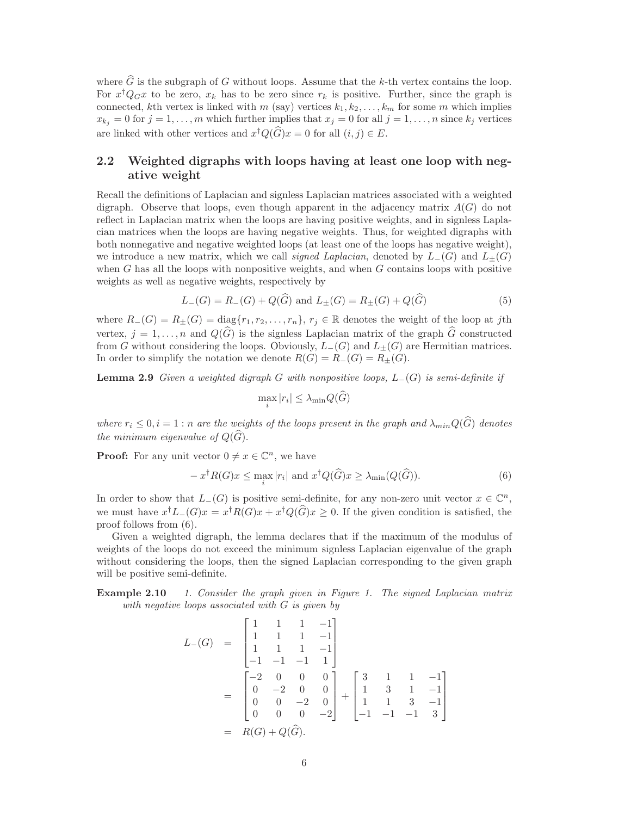where  $\hat{G}$  is the subgraph of G without loops. Assume that the k-th vertex contains the loop. For  $x^{\dagger}Q_Gx$  to be zero,  $x_k$  has to be zero since  $r_k$  is positive. Further, since the graph is connected, kth vertex is linked with m (say) vertices  $k_1, k_2, \ldots, k_m$  for some m which implies  $x_{k_j} = 0$  for  $j = 1, \ldots, m$  which further implies that  $x_j = 0$  for all  $j = 1, \ldots, n$  since  $k_j$  vertices are linked with other vertices and  $x^{\dagger}Q(G)x = 0$  for all  $(i, j) \in E$ .

### 2.2 Weighted digraphs with loops having at least one loop with negative weight

Recall the definitions of Laplacian and signless Laplacian matrices associated with a weighted digraph. Observe that loops, even though apparent in the adjacency matrix  $A(G)$  do not reflect in Laplacian matrix when the loops are having positive weights, and in signless Laplacian matrices when the loops are having negative weights. Thus, for weighted digraphs with both nonnegative and negative weighted loops (at least one of the loops has negative weight), we introduce a new matrix, which we call *signed Laplacian*, denoted by  $L_-(G)$  and  $L_{\pm}(G)$ when  $G$  has all the loops with nonpositive weights, and when  $G$  contains loops with positive weights as well as negative weights, respectively by

$$
L_{-}(G) = R_{-}(G) + Q(\widehat{G}) \text{ and } L_{\pm}(G) = R_{\pm}(G) + Q(\widehat{G})
$$
\n(5)

where  $R_{-}(G) = R_{\pm}(G) = \text{diag}\{r_1, r_2, \ldots, r_n\}, r_j \in \mathbb{R}$  denotes the weight of the loop at jth vertex,  $j = 1, \ldots, n$  and  $Q(\widehat{G})$  is the signless Laplacian matrix of the graph  $\widehat{G}$  constructed from G without considering the loops. Obviously,  $L_-(G)$  and  $L_{\pm}(G)$  are Hermitian matrices. In order to simplify the notation we denote  $R(G) = R_-(G) = R_{\pm}(G)$ .

Lemma 2.9 *Given a weighted digraph* G *with nonpositive loops,* L−(G) *is semi-definite if*

$$
\max_{i}|r_{i}| \leq \lambda_{\min}Q(G)
$$

*where*  $r_i \leq 0, i = 1$ : *n are the weights of the loops present in the graph and*  $\lambda_{min} Q(\widehat{G})$  *denotes the minimum eigenvalue of*  $Q(\widehat{G})$ *.* 

**Proof:** For any unit vector  $0 \neq x \in \mathbb{C}^n$ , we have

$$
-x^{\dagger}R(G)x \le \max_{i}|r_{i}| \text{ and } x^{\dagger}Q(\widehat{G})x \ge \lambda_{\min}(Q(\widehat{G})).
$$
\n(6)

In order to show that  $L_-(G)$  is positive semi-definite, for any non-zero unit vector  $x \in \mathbb{C}^n$ , we must have  $x^{\dagger}L_{-}(G)x = x^{\dagger}R(G)x + x^{\dagger}Q(G)x \geq 0$ . If the given condition is satisfied, the proof follows from (6).

Given a weighted digraph, the lemma declares that if the maximum of the modulus of weights of the loops do not exceed the minimum signless Laplacian eigenvalue of the graph without considering the loops, then the signed Laplacian corresponding to the given graph will be positive semi-definite.

Example 2.10 *1. Consider the graph given in Figure 1. The signed Laplacian matrix with negative loops associated with* G *is given by*

$$
L_{-}(G) = \begin{bmatrix} 1 & 1 & 1 & -1 \\ 1 & 1 & 1 & -1 \\ 1 & 1 & 1 & -1 \\ -1 & -1 & -1 & 1 \end{bmatrix}
$$
  
= 
$$
\begin{bmatrix} -2 & 0 & 0 & 0 \\ 0 & -2 & 0 & 0 \\ 0 & 0 & -2 & 0 \\ 0 & 0 & 0 & -2 \end{bmatrix} + \begin{bmatrix} 3 & 1 & 1 & -1 \\ 1 & 3 & 1 & -1 \\ 1 & 1 & 3 & -1 \\ -1 & -1 & -1 & 3 \end{bmatrix}
$$
  
= 
$$
R(G) + Q(\widehat{G}).
$$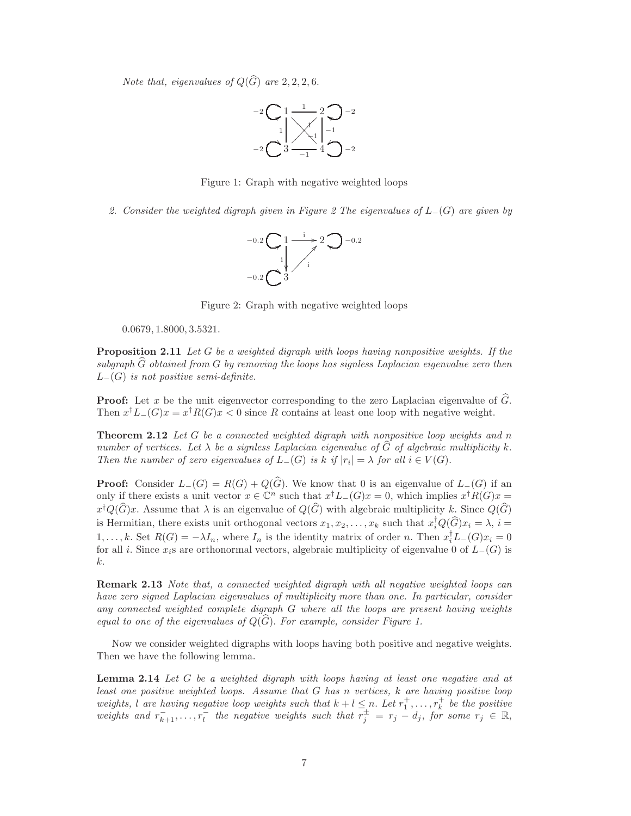*Note that, eigenvalues of*  $Q(\widehat{G})$  *are* 2, 2, 2, 6.



Figure 1: Graph with negative weighted loops

*2. Consider the weighted digraph given in Figure 2 The eigenvalues of* L−(G) *are given by*



Figure 2: Graph with negative weighted loops

0.0679, 1.8000, 3.5321.

Proposition 2.11 *Let* G *be a weighted digraph with loops having nonpositive weights. If the subgraph* Gb *obtained from* G *by removing the loops has signless Laplacian eigenvalue zero then* L−(G) *is not positive semi-definite.*

**Proof:** Let x be the unit eigenvector corresponding to the zero Laplacian eigenvalue of  $\widehat{G}$ . Then  $x^{\dagger}L_{-}(G)x = x^{\dagger}R(G)x < 0$  since R contains at least one loop with negative weight.

Theorem 2.12 *Let* G *be a connected weighted digraph with nonpositive loop weights and* n *number of vertices. Let*  $\lambda$  *be a signless Laplacian eigenvalue of*  $G$  *of algebraic multiplicity*  $k$ . *Then the number of zero eigenvalues of*  $L_{-}(G)$  *is*  $k$  *if*  $|r_i| = \lambda$  *for all*  $i \in V(G)$ .

**Proof:** Consider  $L_-(G) = R(G) + Q(\widehat{G})$ . We know that 0 is an eigenvalue of  $L_-(G)$  if an only if there exists a unit vector  $x \in \mathbb{C}^n$  such that  $x^{\dagger}L_{-}(G)x = 0$ , which implies  $x^{\dagger}R(G)x = 0$  $x^{\dagger}Q(G)x$ . Assume that  $\lambda$  is an eigenvalue of  $Q(G)$  with algebraic multiplicity k. Since  $Q(G)$ is Hermitian, there exists unit orthogonal vectors  $x_1, x_2, \ldots, x_k$  such that  $x_i^{\dagger} Q(G)x_i = \lambda$ ,  $i =$ 1,..., k. Set  $R(G) = -\lambda I_n$ , where  $I_n$  is the identity matrix of order n. Then  $x_i^{\mathsf{T}} L_-(G)x_i = 0$ for all i. Since  $x_i$ s are orthonormal vectors, algebraic multiplicity of eigenvalue 0 of  $L_-(G)$  is k.

Remark 2.13 *Note that, a connected weighted digraph with all negative weighted loops can have zero signed Laplacian eigenvalues of multiplicity more than one. In particular, consider any connected weighted complete digraph* G *where all the loops are present having weights equal to one of the eigenvalues of*  $Q(G)$ *. For example, consider Figure 1.* 

Now we consider weighted digraphs with loops having both positive and negative weights. Then we have the following lemma.

Lemma 2.14 *Let* G *be a weighted digraph with loops having at least one negative and at least one positive weighted loops. Assume that* G *has* n *vertices,* k *are having positive loop weights,* l are having negative loop weights such that  $k + l \leq n$ . Let  $r_1^+, \ldots, r_k^+$  be the positive weights and  $r_{k+1}^-, \ldots, r_l^-$  the negative weights such that  $r_j^{\pm} = r_j - d_j$ , for some  $r_j \in \mathbb{R}$ ,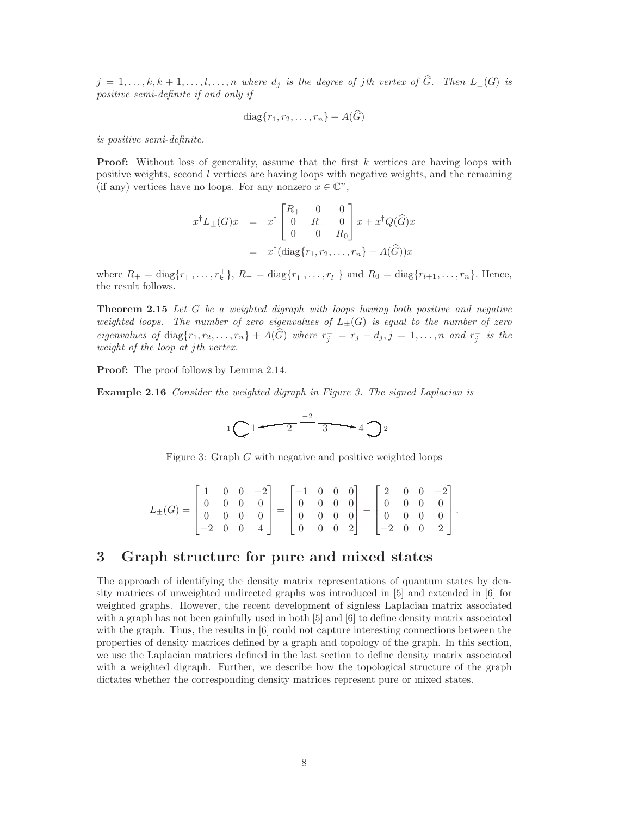$j = 1, \ldots, k, k + 1, \ldots, l, \ldots, n$  where  $d_j$  is the degree of jth vertex of  $\widehat{G}$ . Then  $L_{\pm}(G)$  is *positive semi-definite if and only if*

$$
diag\{r_1, r_2, \ldots, r_n\} + A(\tilde{G})
$$

*is positive semi-definite.*

**Proof:** Without loss of generality, assume that the first k vertices are having loops with positive weights, second l vertices are having loops with negative weights, and the remaining (if any) vertices have no loops. For any nonzero  $x\in\mathbb{C}^n,$ 

$$
x^{\dagger}L_{\pm}(G)x = x^{\dagger} \begin{bmatrix} R_{+} & 0 & 0 \\ 0 & R_{-} & 0 \\ 0 & 0 & R_{0} \end{bmatrix} x + x^{\dagger}Q(\widehat{G})x
$$
  
=  $x^{\dagger}(\text{diag}\{r_{1}, r_{2}, \ldots, r_{n}\} + A(\widehat{G}))x$ 

where  $R_+ = \text{diag}\{r_1^+, \ldots, r_k^+\}$ ,  $R_- = \text{diag}\{r_1^-, \ldots, r_l^-\}$  and  $R_0 = \text{diag}\{r_{l+1}, \ldots, r_n\}$ . Hence, the result follows.

Theorem 2.15 *Let* G *be a weighted digraph with loops having both positive and negative weighted loops. The number of zero eigenvalues of*  $L_{\pm}(G)$  *is equal to the number of zero eigenvalues of* diag $\{r_1, r_2, \ldots, r_n\} + A(G)$  *where*  $r_j^{\pm} = r_j - d_j, j = 1, \ldots, n$  *and*  $r_j^{\pm}$  *is the weight of the loop at* j*th vertex.*

Proof: The proof follows by Lemma 2.14.

Example 2.16 *Consider the weighted digraph in Figure 3. The signed Laplacian is*



Figure 3: Graph  $G$  with negative and positive weighted loops

$$
L_{\pm}(G) = \begin{bmatrix} 1 & 0 & 0 & -2 \\ 0 & 0 & 0 & 0 \\ 0 & 0 & 0 & 0 \\ -2 & 0 & 0 & 4 \end{bmatrix} = \begin{bmatrix} -1 & 0 & 0 & 0 \\ 0 & 0 & 0 & 0 \\ 0 & 0 & 0 & 0 \\ 0 & 0 & 0 & 2 \end{bmatrix} + \begin{bmatrix} 2 & 0 & 0 & -2 \\ 0 & 0 & 0 & 0 \\ 0 & 0 & 0 & 0 \\ -2 & 0 & 0 & 2 \end{bmatrix}.
$$

## 3 Graph structure for pure and mixed states

The approach of identifying the density matrix representations of quantum states by density matrices of unweighted undirected graphs was introduced in [5] and extended in [6] for weighted graphs. However, the recent development of signless Laplacian matrix associated with a graph has not been gainfully used in both [5] and [6] to define density matrix associated with the graph. Thus, the results in [6] could not capture interesting connections between the properties of density matrices defined by a graph and topology of the graph. In this section, we use the Laplacian matrices defined in the last section to define density matrix associated with a weighted digraph. Further, we describe how the topological structure of the graph dictates whether the corresponding density matrices represent pure or mixed states.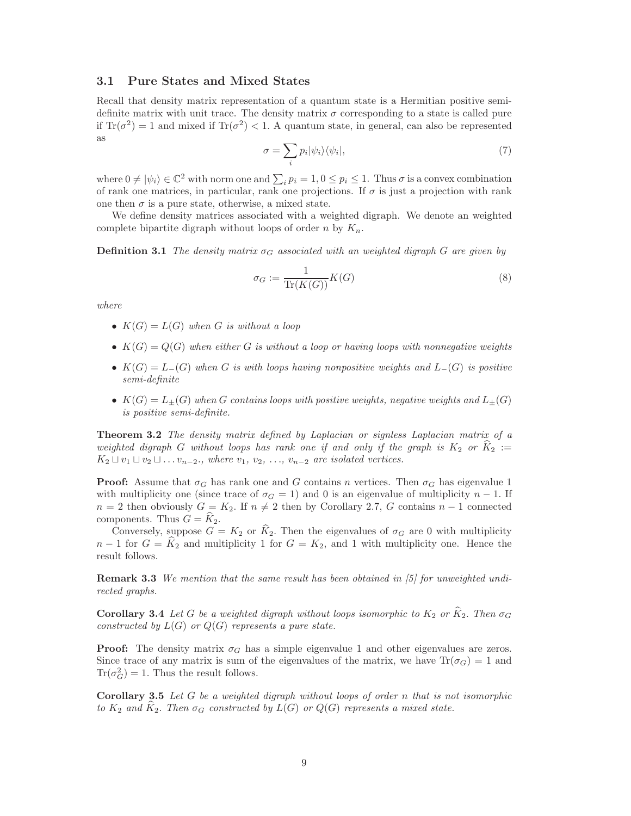#### 3.1 Pure States and Mixed States

Recall that density matrix representation of a quantum state is a Hermitian positive semidefinite matrix with unit trace. The density matrix  $\sigma$  corresponding to a state is called pure if  $\text{Tr}(\sigma^2) = 1$  and mixed if  $\text{Tr}(\sigma^2) < 1$ . A quantum state, in general, can also be represented as

$$
\sigma = \sum_{i} p_i |\psi_i\rangle\langle\psi_i|,\tag{7}
$$

where  $0 \neq |\psi_i\rangle \in \mathbb{C}^2$  with norm one and  $\sum_i p_i = 1, 0 \leq p_i \leq 1$ . Thus  $\sigma$  is a convex combination of rank one matrices, in particular, rank one projections. If  $\sigma$  is just a projection with rank one then  $\sigma$  is a pure state, otherwise, a mixed state.

We define density matrices associated with a weighted digraph. We denote an weighted complete bipartite digraph without loops of order n by  $K_n$ .

**Definition 3.1** *The density matrix*  $\sigma_G$  *associated with an weighted digraph* G *are given by* 

$$
\sigma_G := \frac{1}{\text{Tr}(K(G))} K(G)
$$
\n(8)

*where*

- $K(G) = L(G)$  when G is without a loop
- $K(G) = Q(G)$  when either G is without a loop or having loops with nonnegative weights
- K(G) = L−(G) *when* G *is with loops having nonpositive weights and* L−(G) *is positive semi-definite*
- $K(G) = L_{\pm}(G)$  when G contains loops with positive weights, negative weights and  $L_{\pm}(G)$ *is positive semi-definite.*

Theorem 3.2 *The density matrix defined by Laplacian or signless Laplacian matrix of a weighted digraph* G *without loops has rank one if and only if the graph is*  $K_2$  *or*  $\hat{K}_2$  :=  $K_2 \sqcup v_1 \sqcup v_2 \sqcup \ldots v_{n-2}$ , where  $v_1, v_2, \ldots, v_{n-2}$  are isolated vertices.

**Proof:** Assume that  $\sigma_G$  has rank one and G contains n vertices. Then  $\sigma_G$  has eigenvalue 1 with multiplicity one (since trace of  $\sigma_G = 1$ ) and 0 is an eigenvalue of multiplicity  $n-1$ . If  $n = 2$  then obviously  $G = K_2$ . If  $n \neq 2$  then by Corollary 2.7, G contains  $n - 1$  connected components. Thus  $G = K_2$ .

Conversely, suppose  $G = K_2$  or  $\widehat{K}_2$ . Then the eigenvalues of  $\sigma_G$  are 0 with multiplicity  $n-1$  for  $G = \hat{K}_2$  and multiplicity 1 for  $G = K_2$ , and 1 with multiplicity one. Hence the result follows.

Remark 3.3 *We mention that the same result has been obtained in [5] for unweighted undirected graphs.*

**Corollary 3.4** Let G be a weighted digraph without loops isomorphic to  $K_2$  or  $\tilde{K}_2$ . Then  $\sigma_G$ *constructed by* L(G) *or* Q(G) *represents a pure state.*

**Proof:** The density matrix  $\sigma_G$  has a simple eigenvalue 1 and other eigenvalues are zeros. Since trace of any matrix is sum of the eigenvalues of the matrix, we have  $\text{Tr}(\sigma_G) = 1$  and  $\text{Tr}(\sigma_G^2) = 1$ . Thus the result follows.

Corollary 3.5 *Let* G *be a weighted digraph without loops of order* n *that is not isomorphic to*  $K_2$  *and*  $\hat{K}_2$ *. Then*  $\sigma_G$  *constructed by*  $L(G)$  *or*  $Q(G)$  *represents a mixed state.*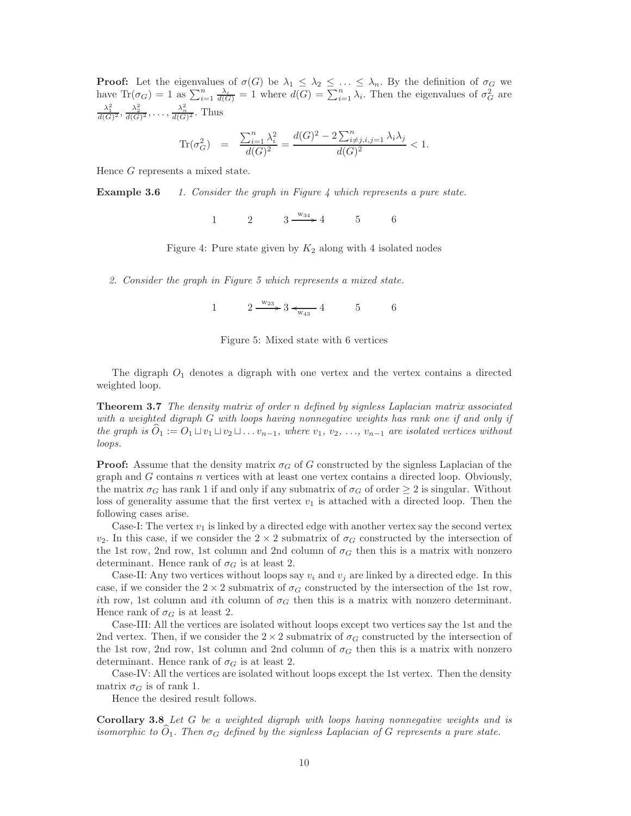**Proof:** Let the eigenvalues of  $\sigma(G)$  be  $\lambda_1 \leq \lambda_2 \leq \ldots \leq \lambda_n$ . By the definition of  $\sigma_G$  we have  $\text{Tr}(\sigma_G) = 1$  as  $\sum_{i=1}^n \frac{\lambda_i}{d(G)} = 1$  where  $d(G) = \sum_{i=1}^n \lambda_i$ . Then the eigenvalues of  $\sigma_G^2$  are  $\frac{\lambda_1^2}{d(G)^2}, \frac{\lambda_2^2}{d(G)^2}, \ldots, \frac{\lambda_n^2}{d(G)^2}$ . Thus

$$
\text{Tr}(\sigma_G^2) = \frac{\sum_{i=1}^n \lambda_i^2}{d(G)^2} = \frac{d(G)^2 - 2\sum_{i \neq j, i, j=1}^n \lambda_i \lambda_j}{d(G)^2} < 1.
$$

Hence G represents a mixed state.

Example 3.6 *1. Consider the graph in Figure 4 which represents a pure state.*

1 2  $3 \xrightarrow{w_{34}} 4$  5 6

Figure 4: Pure state given by  $K_2$  along with 4 isolated nodes

*2. Consider the graph in Figure 5 which represents a mixed state.*

1  $2 \frac{w_{23}}{w_{43}} 3 \leftarrow 5$  6



The digraph  $O_1$  denotes a digraph with one vertex and the vertex contains a directed weighted loop.

Theorem 3.7 *The density matrix of order* n *defined by signless Laplacian matrix associated with a weighted digraph* G *with loops having nonnegative weights has rank one if and only if the graph is*  $O_1 := O_1 \sqcup v_1 \sqcup v_2 \sqcup \ldots v_{n-1}$ *, where*  $v_1, v_2, \ldots, v_{n-1}$  *are isolated vertices without loops.*

**Proof:** Assume that the density matrix  $\sigma_G$  of G constructed by the signless Laplacian of the graph and  $G$  contains  $n$  vertices with at least one vertex contains a directed loop. Obviously, the matrix  $\sigma_G$  has rank 1 if and only if any submatrix of  $\sigma_G$  of order  $\geq 2$  is singular. Without loss of generality assume that the first vertex  $v_1$  is attached with a directed loop. Then the following cases arise.

Case-I: The vertex  $v_1$  is linked by a directed edge with another vertex say the second vertex  $v_2$ . In this case, if we consider the  $2 \times 2$  submatrix of  $\sigma_G$  constructed by the intersection of the 1st row, 2nd row, 1st column and 2nd column of  $\sigma_G$  then this is a matrix with nonzero determinant. Hence rank of  $\sigma_G$  is at least 2.

Case-II: Any two vertices without loops say  $v_i$  and  $v_j$  are linked by a directed edge. In this case, if we consider the  $2 \times 2$  submatrix of  $\sigma_G$  constructed by the intersection of the 1st row, ith row, 1st column and ith column of  $\sigma_G$  then this is a matrix with nonzero determinant. Hence rank of  $\sigma_G$  is at least 2.

Case-III: All the vertices are isolated without loops except two vertices say the 1st and the 2nd vertex. Then, if we consider the  $2 \times 2$  submatrix of  $\sigma_G$  constructed by the intersection of the 1st row, 2nd row, 1st column and 2nd column of  $\sigma_G$  then this is a matrix with nonzero determinant. Hence rank of  $\sigma_G$  is at least 2.

Case-IV: All the vertices are isolated without loops except the 1st vertex. Then the density matrix  $\sigma_G$  is of rank 1.

Hence the desired result follows.

Corollary 3.8 *Let* G *be a weighted digraph with loops having nonnegative weights and is isomorphic to*  $\overline{O}_1$ . Then  $\sigma_G$  defined by the signless Laplacian of G represents a pure state.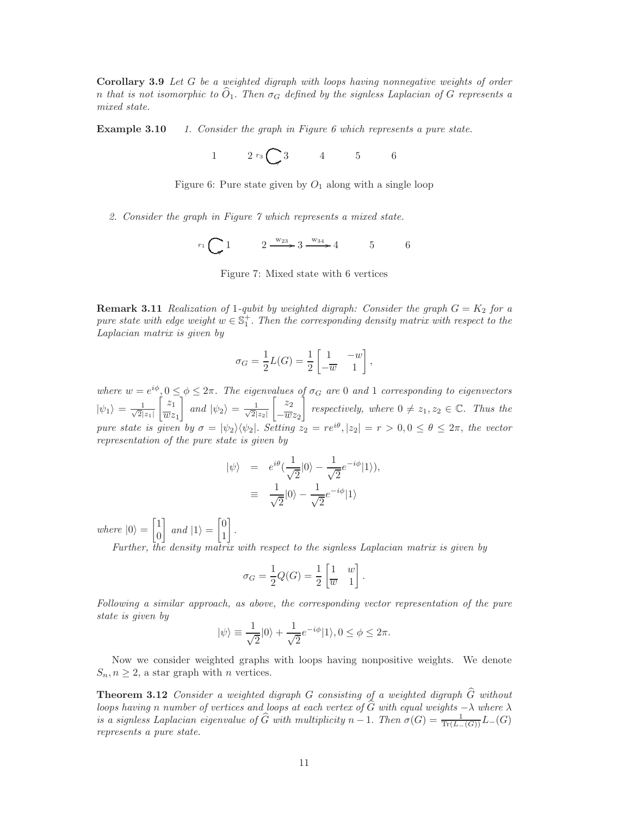Corollary 3.9 *Let* G *be a weighted digraph with loops having nonnegative weights of order n* that is not isomorphic to  $\hat{O}_1$ . Then  $\sigma_G$  defined by the signless Laplacian of G represents a *mixed state.*

Example 3.10 *1. Consider the graph in Figure 6 which represents a pure state.*

1  $2 r_3 \bigodot 3$  4 5 6

Figure 6: Pure state given by  $O_1$  along with a single loop

*2. Consider the graph in Figure 7 which represents a mixed state.*

 $r_1 \bigodot 1$   $2 \frac{w_{23}}{ } 3 \frac{w_{34}}{ } 4$  5 6

Figure 7: Mixed state with 6 vertices

**Remark 3.11** *Realization of* 1*-qubit by weighted digraph: Consider the graph*  $G = K_2$  *for a*  $pure state with edge weight w \in \mathbb{S}_1^+$ . *Then the corresponding density matrix with respect to the Laplacian matrix is given by*

$$
\sigma_G = \frac{1}{2}L(G) = \frac{1}{2}\begin{bmatrix} 1 & -w \\ -\overline{w} & 1 \end{bmatrix},
$$

where  $w = e^{i\phi}, 0 \leq \phi \leq 2\pi$ . The eigenvalues of  $\sigma_G$  are 0 and 1 corresponding to eigenvectors  $|\psi_1\rangle = \frac{1}{\sqrt{2}}$  $2|z_1|$  $\int z_1$  $\overline{w}z_1$ 1 *and*  $|\psi_2\rangle = \frac{1}{\sqrt{2}}$  $2|z_2|$  $\begin{bmatrix} z_2 \end{bmatrix}$  $-\overline{w}z_2$ *respectively, where*  $0 \neq z_1, z_2 \in \mathbb{C}$ *. Thus the pure state is given by*  $\sigma = |\psi_2\rangle \langle \psi_2|$ . *Setting*  $z_2 = re^{i\theta}, |z_2| = r > 0, 0 \le \theta \le 2\pi$ , the vector *representation of the pure state is given by*

$$
\begin{array}{rcl}\n|\psi\rangle & = & e^{i\theta} \left(\frac{1}{\sqrt{2}}|0\rangle - \frac{1}{\sqrt{2}} e^{-i\phi}|1\rangle\right), \\
& \equiv & \frac{1}{\sqrt{2}}|0\rangle - \frac{1}{\sqrt{2}} e^{-i\phi}|1\rangle\n\end{array}
$$

*where*  $|0\rangle$  =  $\lceil 1 \rceil$  $\overline{0}$ 1 *and*  $|1\rangle$  =  $\lceil 0$ 1 1 . *Further, the density matrix with respect to the signless Laplacian matrix is given by*

$$
\sigma_G = \frac{1}{2}Q(G) = \frac{1}{2}\begin{bmatrix} 1 & w \\ \overline{w} & 1 \end{bmatrix}.
$$

*Following a similar approach, as above, the corresponding vector representation of the pure state is given by*

$$
|\psi\rangle \equiv \frac{1}{\sqrt{2}}|0\rangle + \frac{1}{\sqrt{2}}e^{-i\phi}|1\rangle, 0 \le \phi \le 2\pi.
$$

Now we consider weighted graphs with loops having nonpositive weights. We denote  $S_n, n \geq 2$ , a star graph with *n* vertices.

Theorem 3.12 *Consider a weighted digraph* G *consisting of a weighted digraph* Gb *without loops having n number of vertices and loops at each vertex of G with equal weights* −λ *where* λ *is a signless Laplacian eigenvalue of*  $\widehat{G}$  *with multiplicity*  $n - 1$ . *Then*  $\sigma(G) = \frac{1}{\text{Tr}(L-(G))}L-(G)$ *represents a pure state.*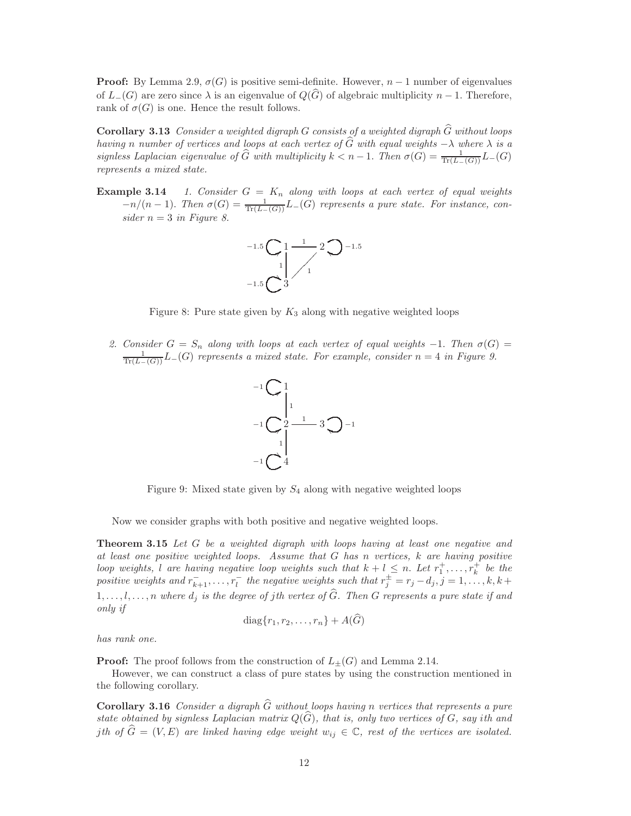**Proof:** By Lemma 2.9,  $\sigma(G)$  is positive semi-definite. However,  $n-1$  number of eigenvalues of  $L_{-}(G)$  are zero since  $\lambda$  is an eigenvalue of  $Q(G)$  of algebraic multiplicity  $n-1$ . Therefore, rank of  $\sigma(G)$  is one. Hence the result follows.

Corollary 3.13 *Consider a weighted digraph* G *consists of a weighted digraph* Gb *without loops having* n *number of vertices and loops at each vertex of* Gb *with equal weights* −λ *where* λ *is a signless Laplacian eigenvalue of*  $\widehat{G}$  *with multiplicity*  $k < n - 1$ . *Then*  $\sigma(G) = \frac{1}{\text{Tr}(L-(G))}L(G)$ *represents a mixed state.*

**Example 3.14** 1. Consider  $G = K_n$  along with loops at each vertex of equal weights  $-n/(n-1)$ . *Then*  $\sigma(G) = \frac{1}{\text{Tr}(L-(G))}L_-(G)$  *represents a pure state. For instance, con* $sider n = 3$  *in Figure 8.* 



Figure 8: Pure state given by  $K_3$  along with negative weighted loops

2. Consider  $G = S_n$  along with loops at each vertex of equal weights  $-1$ . Then  $\sigma(G) = \frac{1}{\text{Tr}(L-(G))}L-(G)$  represents a mixed state. For example, consider  $n = 4$  in Figure 9.



Figure 9: Mixed state given by  $S_4$  along with negative weighted loops

Now we consider graphs with both positive and negative weighted loops.

Theorem 3.15 *Let* G *be a weighted digraph with loops having at least one negative and at least one positive weighted loops. Assume that* G *has* n *vertices,* k *are having positive loop weights, l* are having negative loop weights such that  $k + l \leq n$ . Let  $r_1^+, \ldots, r_k^+$  be the positive weights and  $r_{k+1}^-, \ldots, r_l^-$  the negative weights such that  $r_j^{\pm} = r_j - d_j, j = 1, \ldots, k, k + l$  $1, \ldots, l, \ldots, n$  where  $d_j$  is the degree of jth vertex of  $\widehat{G}$ *. Then* G represents a pure state if and *only if*

$$
diag\{r_1, r_2, \ldots, r_n\} + A(\tilde{G})
$$

*has rank one.*

**Proof:** The proof follows from the construction of  $L_{\pm}(G)$  and Lemma 2.14.

However, we can construct a class of pure states by using the construction mentioned in the following corollary.

Corollary 3.16 *Consider a digraph* Gb *without loops having* n *vertices that represents a pure state obtained by signless Laplacian matrix*  $Q(G)$ *, that is, only two vertices of*  $G$ *, say ith and j*th of  $\widehat{G} = (V, E)$  are linked having edge weight  $w_{ij} \in \mathbb{C}$ , rest of the vertices are isolated.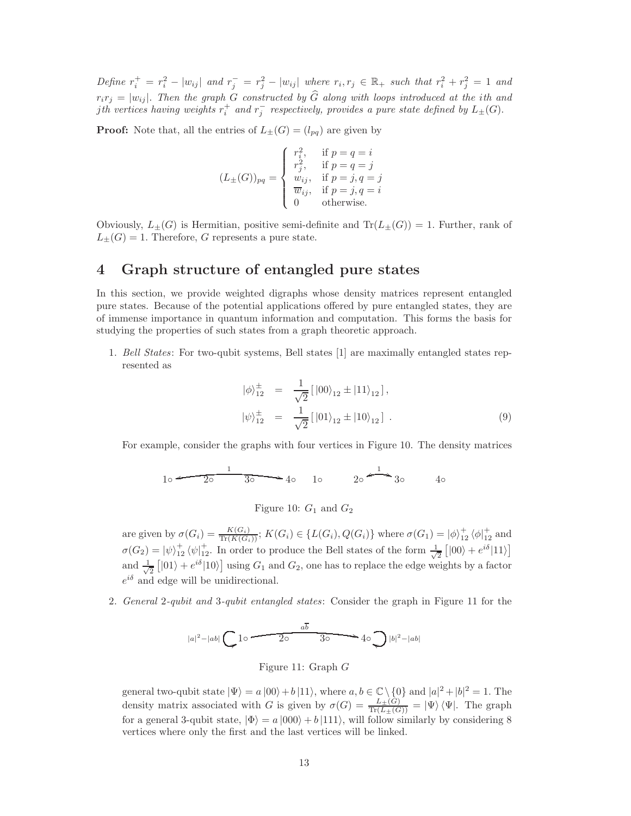$Define \ r_i^+ = r_i^2 - |w_{ij}| \ and \ r_j^- = r_j^2 - |w_{ij}| \ where \ r_i, r_j \in \mathbb{R}_+ \ such \ that \ r_i^2 + r_j^2 = 1 \ and$  $r_i r_j = |w_{ij}|$ . Then the graph G constructed by G along with loops introduced at the *i*th and *i*th vertices having weights  $r_i^+$  and  $r_j^-$  respectively, provides a pure state defined by  $L_{\pm}(G)$ .

**Proof:** Note that, all the entries of  $L_{\pm}(G) = (l_{pq})$  are given by

$$
(L_{\pm}(G))_{pq} = \begin{cases} r_i^2, & \text{if } p = q = i \\ r_j^2, & \text{if } p = q = j \\ w_{ij}, & \text{if } p = j, q = j \\ \overline{w}_{ij}, & \text{if } p = j, q = i \\ 0 & \text{otherwise.} \end{cases}
$$

Obviously,  $L_{+}(G)$  is Hermitian, positive semi-definite and  $Tr(L_{+}(G)) = 1$ . Further, rank of  $L_{\pm}(G) = 1$ . Therefore, G represents a pure state.

## 4 Graph structure of entangled pure states

In this section, we provide weighted digraphs whose density matrices represent entangled pure states. Because of the potential applications offered by pure entangled states, they are of immense importance in quantum information and computation. This forms the basis for studying the properties of such states from a graph theoretic approach.

1. *Bell States*: For two-qubit systems, Bell states [1] are maximally entangled states represented as

$$
|\phi\rangle_{12}^{\pm} = \frac{1}{\sqrt{2}} [ |00\rangle_{12} \pm |11\rangle_{12} ],
$$
  

$$
|\psi\rangle_{12}^{\pm} = \frac{1}{\sqrt{2}} [ |01\rangle_{12} \pm |10\rangle_{12} ].
$$
 (9)

For example, consider the graphs with four vertices in Figure 10. The density matrices

$$
10 \xrightarrow{\qquad 1} 30 \xrightarrow{\qquad 1} 40 \qquad 10 \qquad 20 \xrightarrow{\qquad 1} 30 \qquad 40
$$

Figure 10:  $G_1$  and  $G_2$ 

are given by  $\sigma(G_i) = \frac{K(G_i)}{\text{Tr}(K(G_i))}$ ;  $K(G_i) \in \{L(G_i), Q(G_i)\}\$  where  $\sigma(G_1) = |\phi\rangle^+_{12} \langle \phi|^+_{12}$  and  $\sigma(G_2) = |\psi\rangle^+_{12} \langle \psi|^{+}_{12}$ . In order to produce the Bell states of the form  $\frac{1}{\sqrt{\ }}$  $\frac{1}{2}$ [|00\ +  $e^{i\delta}$ |11\] and  $\frac{1}{\sqrt{2}}$  $\frac{1}{2} [ |01\rangle + e^{i\delta} |10\rangle ]$  using  $G_1$  and  $G_2$ , one has to replace the edge weights by a factor  $e^{i\delta}$  and edge will be unidirectional.

2. *General* 2*-qubit and* 3*-qubit entangled states*: Consider the graph in Figure 11 for the

$$
|a|^2-|ab|\left(\bigcup 10\right)^{a\overline{b}}\right) = 40\bigcup |b|^2-|ab|
$$

Figure 11: Graph G

general two-qubit state  $|\Psi\rangle = a |00\rangle + b |11\rangle$ , where  $a, b \in \mathbb{C} \setminus \{0\}$  and  $|a|^2 + |b|^2 = 1$ . The density matrix associated with G is given by  $\sigma(G) = \frac{L_{\pm}(G)}{\text{Tr}(L_{\pm}(G))} = |\Psi\rangle \langle \Psi|$ . The graph for a general 3-qubit state,  $|\Phi\rangle = a |000\rangle + b |111\rangle$ , will follow similarly by considering 8 vertices where only the first and the last vertices will be linked.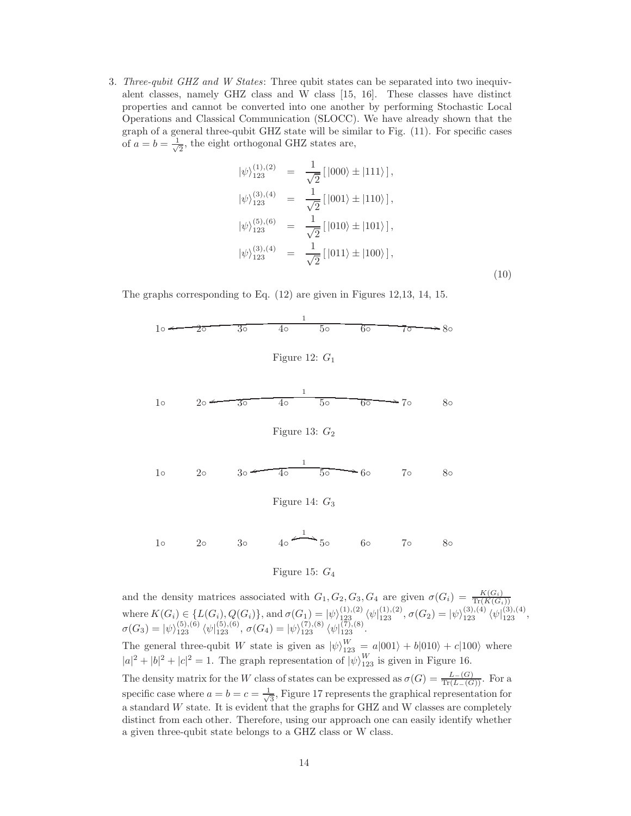3. *Three-qubit GHZ and W States*: Three qubit states can be separated into two inequivalent classes, namely GHZ class and W class [15, 16]. These classes have distinct properties and cannot be converted into one another by performing Stochastic Local Operations and Classical Communication (SLOCC). We have already shown that the graph of a general three-qubit GHZ state will be similar to Fig. (11). For specific cases of  $a = b = \frac{1}{\sqrt{2}}$  $\frac{1}{2}$ , the eight orthogonal GHZ states are,

$$
|\psi\rangle_{123}^{(1),(2)} = \frac{1}{\sqrt{2}}[|000\rangle \pm |111\rangle],
$$
  
\n
$$
|\psi\rangle_{123}^{(3),(4)} = \frac{1}{\sqrt{2}}[|001\rangle \pm |110\rangle],
$$
  
\n
$$
|\psi\rangle_{123}^{(5),(6)} = \frac{1}{\sqrt{2}}[|010\rangle \pm |101\rangle],
$$
  
\n
$$
|\psi\rangle_{123}^{(3),(4)} = \frac{1}{\sqrt{2}}[|011\rangle \pm |100\rangle],
$$
  
\n(10)

The graphs corresponding to Eq. (12) are given in Figures 12,13, 14, 15.



$$
10 \t 20 \t 30 \t 40 \t 50 \t 60 \t 70 \t 80
$$

### Figure 15:  $G_4$

and the density matrices associated with  $G_1, G_2, G_3, G_4$  are given  $\sigma(G_i) = \frac{K(G_i)}{\text{Tr}(K(G_i))}$ where  $K(G_i) \in \{L(G_i), Q(G_i)\}\$ , and  $\sigma(G_1) = |\psi\rangle_{123}^{(1),(2)} \langle \psi |_{123}^{(1),(2)}, \sigma(G_2) = |\psi\rangle_{123}^{(3),(4)} \langle \psi |_{123}^{(3),(4)},$  $\sigma(G_3) = |\psi\rangle_{123}^{(5),(6)} \langle \psi|_{123}^{(5),(6)}, \sigma(G_4) = |\psi\rangle_{123}^{(7),(8)} \langle \psi|_{123}^{(7),(8)}.$ The general three-qubit W state is given as  $|\psi\rangle_{123}^{W} = a|001\rangle + b|010\rangle + c|100\rangle$  where  $|a|^2 + |b|^2 + |c|^2 = 1$ . The graph representation of  $|\psi\rangle_{123}^W$  is given in Figure 16.

The density matrix for the W class of states can be expressed as  $\sigma(G) = \frac{L-(G)}{\text{Tr}(L-(G))}$ . For a specific case where  $a = b = c = \frac{1}{\sqrt{2}}$  $\frac{1}{3}$ , Figure 17 represents the graphical representation for a standard W state. It is evident that the graphs for GHZ and W classes are completely distinct from each other. Therefore, using our approach one can easily identify whether a given three-qubit state belongs to a GHZ class or W class.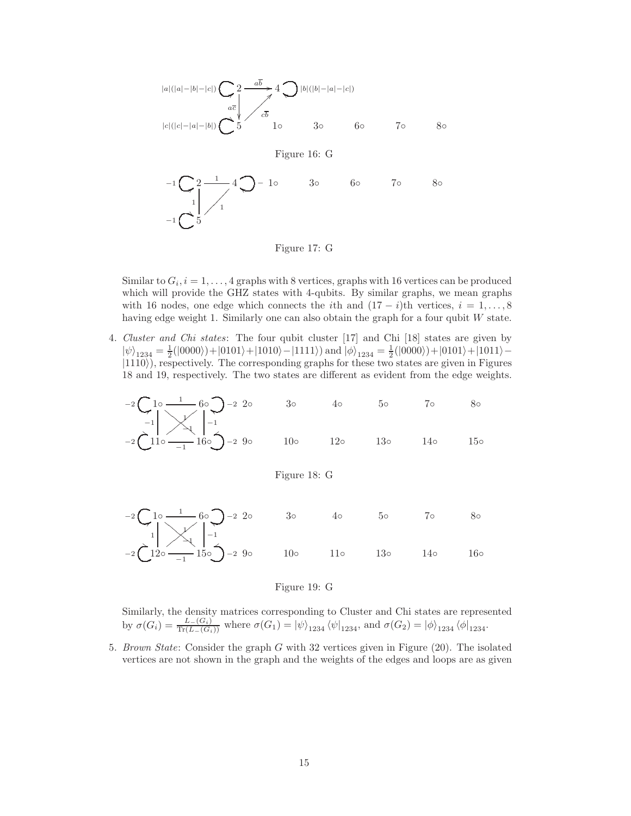

Figure 17: G

Similar to  $G_i$ ,  $i = 1, ..., 4$  graphs with 8 vertices, graphs with 16 vertices can be produced which will provide the GHZ states with 4-qubits. By similar graphs, we mean graphs with 16 nodes, one edge which connects the *i*th and  $(17 - i)$ th vertices,  $i = 1, \ldots, 8$ having edge weight 1. Similarly one can also obtain the graph for a four qubit W state.

4. *Cluster and Chi states*: The four qubit cluster [17] and Chi [18] states are given by  $|\psi\rangle_{1234} = \frac{1}{2}(|0000\rangle) + |0101\rangle + |1010\rangle - |1111\rangle)$  and  $|\phi\rangle_{1234} = \frac{1}{2}(|0000\rangle) + |0101\rangle + |1011\rangle |1110\rangle$ ), respectively. The corresponding graphs for these two states are given in Figures 18 and 19, respectively. The two states are different as evident from the edge weights.

<sup>−</sup><sup>2</sup> <sup>1</sup>◦ <sup>8</sup> 1 −1 1 ❊ ❊ ❊ ❊ ❊ ❊ ❊ ❊ 6◦ <sup>−</sup><sup>2</sup> f −1 2◦ 3◦ 4◦ 5◦ 7◦ 8◦ <sup>−</sup><sup>2</sup> 11◦ \* −1 −1 ②②②②②②②② 16◦ <sup>−</sup><sup>2</sup> t 9◦ 10◦ 12◦ 13◦ 14◦ 15◦

Figure 18: G



#### Figure 19: G

Similarly, the density matrices corresponding to Cluster and Chi states are represented by  $\sigma(G_i) = \frac{L_{-}(G_i)}{\text{Tr}(L_{-}(G_i))}$  where  $\sigma(G_1) = |\psi\rangle_{1234} \langle \psi|_{1234}$ , and  $\sigma(G_2) = |\phi\rangle_{1234} \langle \phi|_{1234}$ .

5. *Brown State*: Consider the graph G with 32 vertices given in Figure (20). The isolated vertices are not shown in the graph and the weights of the edges and loops are as given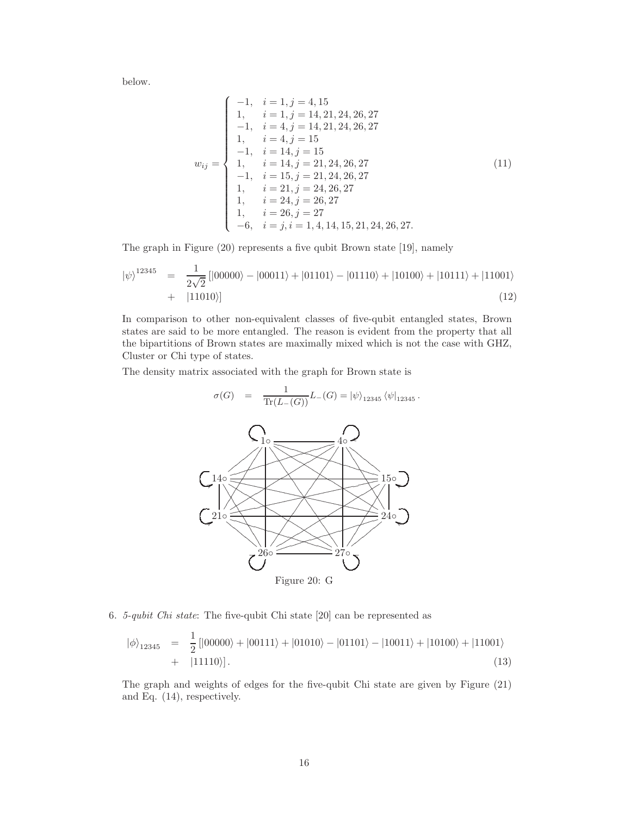below.

$$
w_{ij} = \begin{cases}\n-1, & i = 1, j = 4, 15 \\
1, & i = 1, j = 14, 21, 24, 26, 27 \\
-1, & i = 4, j = 14, 21, 24, 26, 27 \\
1, & i = 4, j = 15\n\end{cases}
$$
\n
$$
w_{ij} = \begin{cases}\n-1, & i = 14, j = 15 \\
-1, & i = 14, j = 21, 24, 26, 27 \\
1, & i = 15, j = 21, 24, 26, 27 \\
1, & i = 21, j = 24, 26, 27 \\
1, & i = 24, j = 26, 27 \\
1, & i = 26, j = 27 \\
-6, & i = j, i = 1, 4, 14, 15, 21, 24, 26, 27.\n\end{cases}
$$
\n(11)

The graph in Figure (20) represents a five qubit Brown state [19], namely

$$
|\psi\rangle^{12345} = \frac{1}{2\sqrt{2}}[|00000\rangle - |00011\rangle + |01101\rangle - |01110\rangle + |10100\rangle + |10111\rangle + |11001\rangle + |11010\rangle]
$$
\n(12)

In comparison to other non-equivalent classes of five-qubit entangled states, Brown states are said to be more entangled. The reason is evident from the property that all the bipartitions of Brown states are maximally mixed which is not the case with GHZ, Cluster or Chi type of states.

The density matrix associated with the graph for Brown state is

$$
\sigma(G) = \frac{1}{\text{Tr}(L_{-}(G))} L_{-}(G) = |\psi\rangle_{12345} \langle \psi|_{12345}.
$$



6. *5-qubit Chi state*: The five-qubit Chi state [20] can be represented as

1

$$
|\phi\rangle_{12345} = \frac{1}{2} [ |00000\rangle + |00111\rangle + |01010\rangle - |01101\rangle - |10011\rangle + |10100\rangle + |11001\rangle + |11110\rangle].
$$
\n(13)

The graph and weights of edges for the five-qubit Chi state are given by Figure (21) and Eq. (14), respectively.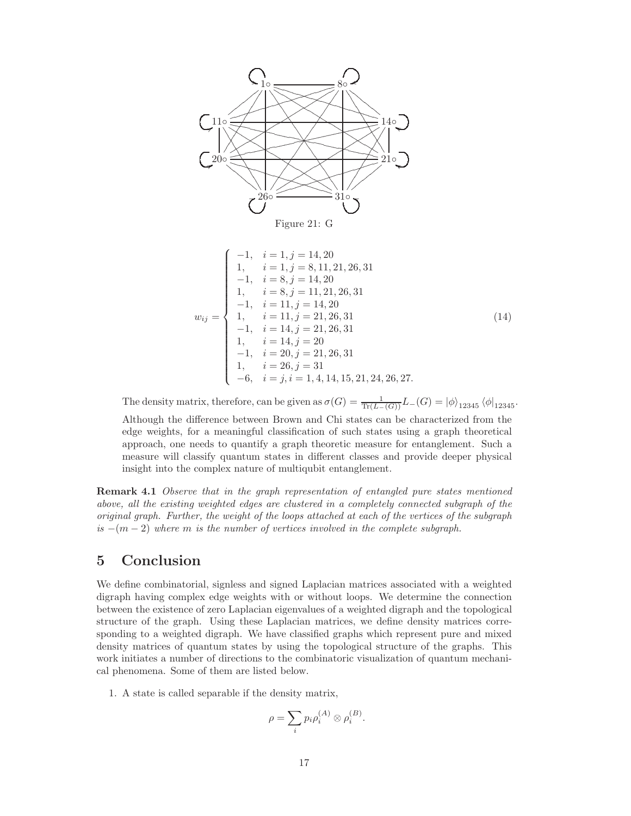

$$
w_{ij} = \begin{cases}\n-1, & i = 1, j = 14, 20 \\
1, & i = 1, j = 8, 11, 21, 26, 31 \\
-1, & i = 8, j = 14, 20 \\
1, & i = 8, j = 11, 21, 26, 31 \\
-1, & i = 11, j = 14, 20 \\
1, & i = 11, j = 21, 26, 31 \\
-1, & i = 14, j = 21, 26, 31 \\
1, & i = 14, j = 20 \\
-1, & i = 20, j = 21, 26, 31 \\
1, & i = 26, j = 31 \\
-6, & i = j, i = 1, 4, 14, 15, 21, 24, 26, 27.\n\end{cases}
$$
\n(14)

The density matrix, therefore, can be given as  $\sigma(G) = \frac{1}{\text{Tr}(L-(G))} L-(G) = |\phi\rangle_{12345} \langle \phi|_{12345}$ . Although the difference between Brown and Chi states can be characterized from the edge weights, for a meaningful classification of such states using a graph theoretical approach, one needs to quantify a graph theoretic measure for entanglement. Such a measure will classify quantum states in different classes and provide deeper physical insight into the complex nature of multiqubit entanglement.

Remark 4.1 *Observe that in the graph representation of entangled pure states mentioned above, all the existing weighted edges are clustered in a completely connected subgraph of the original graph. Further, the weight of the loops attached at each of the vertices of the subgraph is* −(m − 2) *where* m *is the number of vertices involved in the complete subgraph.*

## 5 Conclusion

We define combinatorial, signless and signed Laplacian matrices associated with a weighted digraph having complex edge weights with or without loops. We determine the connection between the existence of zero Laplacian eigenvalues of a weighted digraph and the topological structure of the graph. Using these Laplacian matrices, we define density matrices corresponding to a weighted digraph. We have classified graphs which represent pure and mixed density matrices of quantum states by using the topological structure of the graphs. This work initiates a number of directions to the combinatoric visualization of quantum mechanical phenomena. Some of them are listed below.

1. A state is called separable if the density matrix,

$$
\rho = \sum_{i} p_i \rho_i^{(A)} \otimes \rho_i^{(B)}.
$$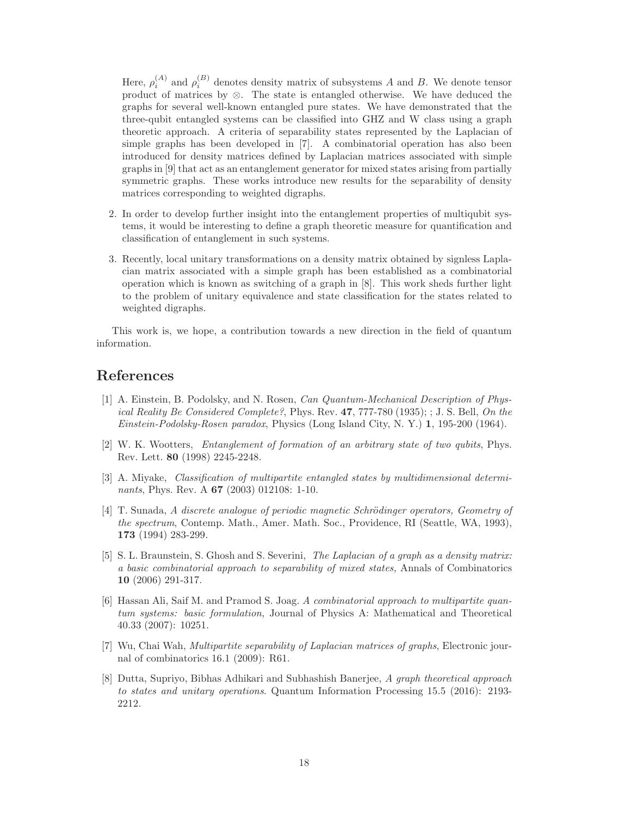Here,  $\rho_i^{(A)}$  and  $\rho_i^{(B)}$  denotes density matrix of subsystems A and B. We denote tensor product of matrices by ⊗. The state is entangled otherwise. We have deduced the graphs for several well-known entangled pure states. We have demonstrated that the three-qubit entangled systems can be classified into GHZ and W class using a graph theoretic approach. A criteria of separability states represented by the Laplacian of simple graphs has been developed in [7]. A combinatorial operation has also been introduced for density matrices defined by Laplacian matrices associated with simple graphs in [9] that act as an entanglement generator for mixed states arising from partially symmetric graphs. These works introduce new results for the separability of density matrices corresponding to weighted digraphs.

- 2. In order to develop further insight into the entanglement properties of multiqubit systems, it would be interesting to define a graph theoretic measure for quantification and classification of entanglement in such systems.
- 3. Recently, local unitary transformations on a density matrix obtained by signless Laplacian matrix associated with a simple graph has been established as a combinatorial operation which is known as switching of a graph in [8]. This work sheds further light to the problem of unitary equivalence and state classification for the states related to weighted digraphs.

This work is, we hope, a contribution towards a new direction in the field of quantum information.

## References

- [1] A. Einstein, B. Podolsky, and N. Rosen, *Can Quantum-Mechanical Description of Physical Reality Be Considered Complete?*, Phys. Rev. 47, 777-780 (1935); ; J. S. Bell, *On the Einstein-Podolsky-Rosen paradox*, Physics (Long Island City, N. Y.) 1, 195-200 (1964).
- [2] W. K. Wootters, *Entanglement of formation of an arbitrary state of two qubits*, Phys. Rev. Lett. 80 (1998) 2245-2248.
- [3] A. Miyake, *Classification of multipartite entangled states by multidimensional determinants*, Phys. Rev. A 67 (2003) 012108: 1-10.
- [4] T. Sunada, *A discrete analogue of periodic magnetic Schrödinger operators, Geometry of the spectrum*, Contemp. Math., Amer. Math. Soc., Providence, RI (Seattle, WA, 1993), 173 (1994) 283-299.
- [5] S. L. Braunstein, S. Ghosh and S. Severini, *The Laplacian of a graph as a density matrix: a basic combinatorial approach to separability of mixed states,* Annals of Combinatorics 10 (2006) 291-317.
- [6] Hassan Ali, Saif M. and Pramod S. Joag. *A combinatorial approach to multipartite quantum systems: basic formulation*, Journal of Physics A: Mathematical and Theoretical 40.33 (2007): 10251.
- [7] Wu, Chai Wah, *Multipartite separability of Laplacian matrices of graphs*, Electronic journal of combinatorics 16.1 (2009): R61.
- [8] Dutta, Supriyo, Bibhas Adhikari and Subhashish Banerjee, *A graph theoretical approach to states and unitary operations*. Quantum Information Processing 15.5 (2016): 2193- 2212.